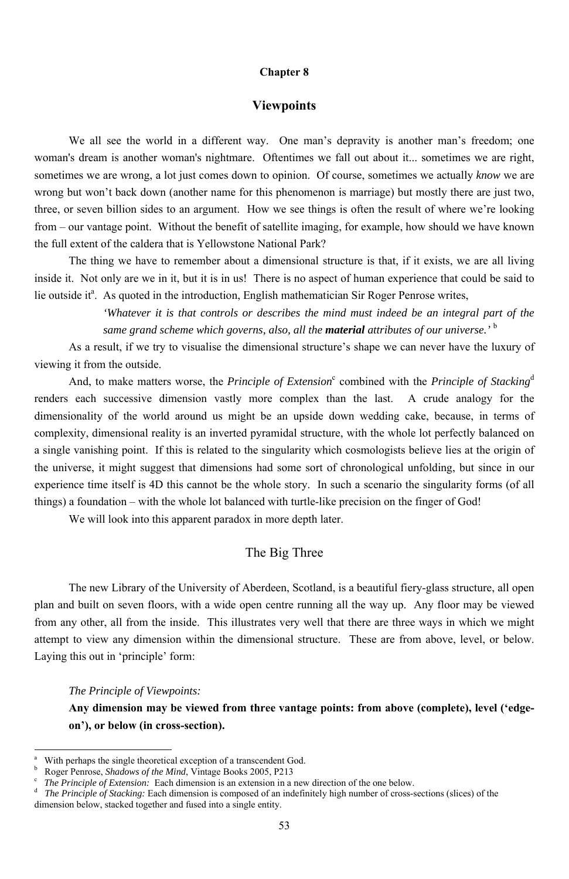#### **Chapter 8**

#### **Viewpoints**

The thing we have to remember about a dimensional structure is that, if it exists, we are all living inside it. Not only are we in it, but it is in us! There is no aspect of human experience that could be said to lie outside it<sup>a</sup>. As quoted in the introduction, English mathematician Sir Roger Penrose writes,

We all see the world in a different way. One man's depravity is another man's freedom; one woman's dream is another woman's nightmare. Oftentimes we fall out about it... sometimes we are right, sometimes we are wrong, a lot just comes down to opinion. Of course, sometimes we actually *know* we are wrong but won't back down (another name for this phenomenon is marriage) but mostly there are just two, three, or seven billion sides to an argument. How we see things is often the result of where we're looking from – our vantage point. Without the benefit of satellite imaging, for example, how should we have known the full extent of the caldera that is Yellowstone National Park?

And, to make matters worse, the *Principle of Extension*<sup>c</sup> combined with the *Principle of Stacking*<sup>d</sup> renders each successive dimension vastly more complex than the last. A crude analogy for the dimensionality of the world around us might be an upside down wedding cake, because, in terms of complexity, dimensional reality is an inverted pyramidal structure, with the whole lot perfectly balanced on a single vanishing point. If this is related to the singularity which cosmologists believe lies at the origin of the universe, it might suggest that dimensions had some sort of chronological unfolding, but since in our experience time itself is 4D this cannot be the whole story. In such a scenario the singularity forms (of all things) a foundation – with the whole lot balanced with turtle-like precision on the finger of God!

*'Whatever it is that controls or describes the mind must indeed be an integral part of the same grand scheme which governs, also, all the material attributes of our universe.'* <sup>b</sup>

As a result, if we try to visualise the dimensional structure's shape we can never have the luxury of viewing it from the outside.

We will look into this apparent paradox in more depth later.

## The Big Three

The new Library of the University of Aberdeen, Scotland, is a beautiful fiery-glass structure, all open plan and built on seven floors, with a wide open centre running all the way up. Any floor may be viewed from any other, all from the inside. This illustrates very well that there are three ways in which we might attempt to view any dimension within the dimensional structure. These are from above, level, or below.

Laying this out in 'principle' form:

<sup>-</sup>

*The Principle of Viewpoints:* 

**Any dimension may be viewed from three vantage points: from above (complete), level ('edgeon'), or below (in cross-section).** 

b <sup>b</sup> Roger Penrose, *Shadows of the Mind*, Vintage Books 2005, P213<sup>c</sup> The Principle of Extension: Each dimension is an extension in a

a With perhaps the single theoretical exception of a transcendent God.

*The Principle of Extension:* Each dimension is an extension in a new direction of the one below.

d *The Principle of Stacking:* Each dimension is composed of an indefinitely high number of cross-sections (slices) of the dimension below, stacked together and fused into a single entity.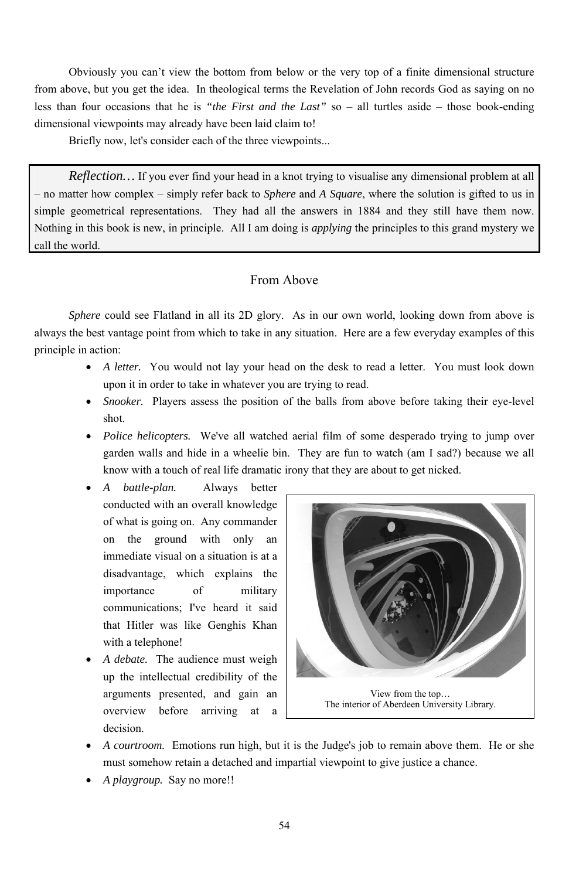• *A playgroup.* Say no more!!

Obviously you can't view the bottom from below or the very top of a finite dimensional structure from above, but you get the idea. In theological terms the Revelation of John records God as saying on no less than four occasions that he is *"the First and the Last"* so – all turtles aside – those book-ending dimensional viewpoints may already have been laid claim to!

Briefly now, let's consider each of the three viewpoints...

*Reflection*... If you ever find your head in a knot trying to visualise any dimensional problem at all – no matter how complex – simply refer back to *Sphere* and *A Square*, where the solution is gifted to us in simple geometrical representations. They had all the answers in 1884 and they still have them now. Nothing in this book is new, in principle. All I am doing is *applying* the principles to this grand mystery we call the world.

*Sphere* could see Flatland in all its 2D glory. As in our own world, looking down from above is always the best vantage point from which to take in any situation. Here are a few everyday examples of this principle in action:

## From Above

- *A letter*. You would not lay your head on the desk to read a letter. You must look down upon it in order to take in whatever you are trying to read.
- *Snooker.* Players assess the position of the balls from above before taking their eye-level shot.
- *Police helicopters*. We've all watched aerial film of some desperado trying to jump over garden walls and hide in a wheelie bin. They are fun to watch (am I sad?) because we all know with a touch of real life dramatic irony that they are about to get nicked.
- *A battle-plan.* Always better conducted with an overall knowledge of what is going on. Any commander on the ground with only an immediate visual on a situation is at a disadvantage, which explains the importance of military communications; I've heard it said that Hitler was like Genghis Khan with a telephone! • *A debate.* The audience must weigh up the intellectual credibility of the arguments presented, and gain an overview before arriving at a decision.

• *A courtroom.* Emotions run high, but it is the Judge's job to remain above them. He or she must somehow retain a detached and impartial viewpoint to give justice a chance.

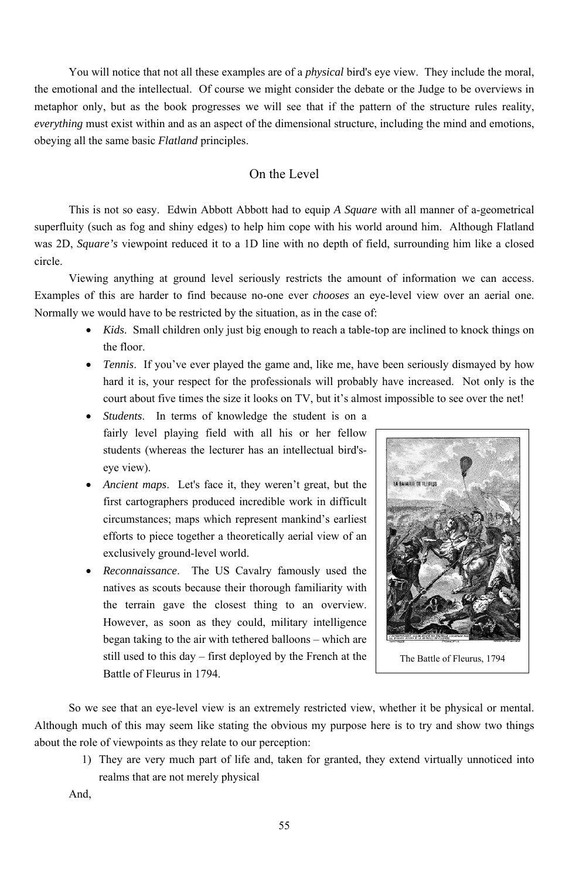You will notice that not all these examples are of a *physical* bird's eye view. They include the moral, the emotional and the intellectual. Of course we might consider the debate or the Judge to be overviews in metaphor only, but as the book progresses we will see that if the pattern of the structure rules reality, *everything* must exist within and as an aspect of the dimensional structure, including the mind and emotions, obeying all the same basic *Flatland* principles.

## On the Level

This is not so easy. Edwin Abbott Abbott had to equip *A Square* with all manner of a-geometrical superfluity (such as fog and shiny edges) to help him cope with his world around him. Although Flatland was 2D, *Square's* viewpoint reduced it to a 1D line with no depth of field, surrounding him like a closed circle.

Viewing anything at ground level seriously restricts the amount of information we can access. Examples of this are harder to find because no-one ever *chooses* an eye-level view over an aerial one. Normally we would have to be restricted by the situation, as in the case of:

- *Kids*. Small children only just big enough to reach a table-top are inclined to knock things on the floor.
- *Tennis*. If you've ever played the game and, like me, have been seriously dismayed by how hard it is, your respect for the professionals will probably have increased. Not only is the court about five times the size it looks on TV, but it's almost impossible to see over the net!
- *Students*. In terms of knowledge the student is on a fairly level playing field with all his or her fellow students (whereas the lecturer has an intellectual bird'seye view).
- *Ancient maps*. Let's face it, they weren't great, but the first cartographers produced incredible work in difficult circumstances; maps which represent mankind's earliest efforts to piece together a theoretically aerial view of an exclusively ground-level world.
- *Reconnaissance*. The US Cavalry famously used the natives as scouts because their thorough familiarity with the terrain gave the closest thing to an overview. However, as soon as they could, military intelligence began taking to the air with tethered balloons – which are



still used to this day – first deployed by the French at the Battle of Fleurus in 1794.

So we see that an eye-level view is an extremely restricted view, whether it be physical or mental. Although much of this may seem like stating the obvious my purpose here is to try and show two things about the role of viewpoints as they relate to our perception:

1) They are very much part of life and, taken for granted, they extend virtually unnoticed into realms that are not merely physical

And,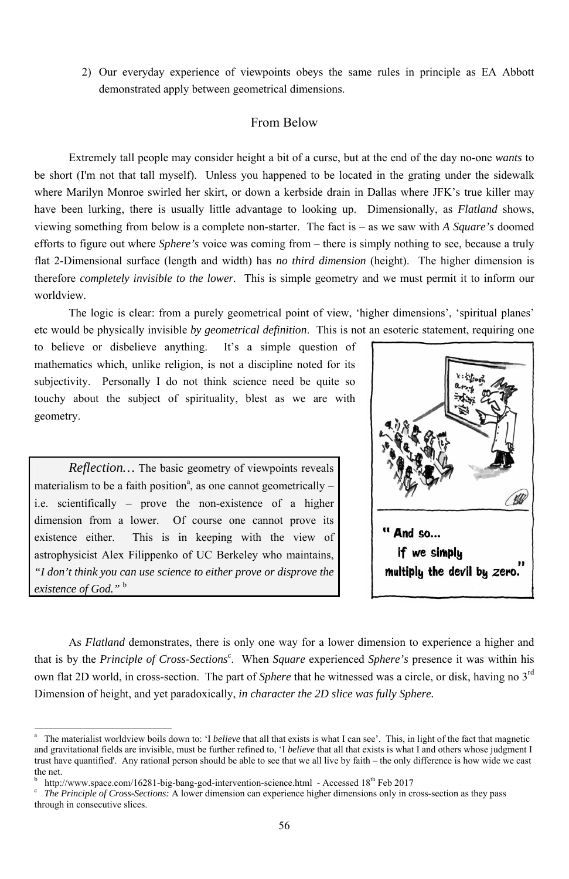2) Our everyday experience of viewpoints obeys the same rules in principle as EA Abbott demonstrated apply between geometrical dimensions.

### From Below

Extremely tall people may consider height a bit of a curse, but at the end of the day no-one *wants* to be short (I'm not that tall myself). Unless you happened to be located in the grating under the sidewalk where Marilyn Monroe swirled her skirt, or down a kerbside drain in Dallas where JFK's true killer may have been lurking, there is usually little advantage to looking up. Dimensionally, as *Flatland* shows, viewing something from below is a complete non-starter. The fact is – as we saw with *A Square's* doomed efforts to figure out where *Sphere's* voice was coming from – there is simply nothing to see, because a truly flat 2-Dimensional surface (length and width) has *no third dimension* (height). The higher dimension is therefore *completely invisible to the lower.* This is simple geometry and we must permit it to inform our worldview.

The logic is clear: from a purely geometrical point of view, 'higher dimensions', 'spiritual planes' etc would be physically invisible *by geometrical definition*. This is not an esoteric statement, requiring one

that is by the *Principle of Cross-Sections*<sup>c</sup>. When *Square* experienced *Sphere's* presence it was within his own flat 2D world, in cross-section. The part of *Sphere* that he witnessed was a circle, or disk, having no 3rd Dimension of height, and yet paradoxically, *in character the 2D slice was fully Sphere.*

to believe or disbelieve anything. It's a simple question of mathematics which, unlike religion, is not a discipline noted for its subjectivity. Personally I do not think science need be quite so touchy about the subject of spirituality, blest as we are with geometry.

b <sup>b</sup> http://www.space.com/16281-big-bang-god-intervention-science.html - Accessed 18<sup>th</sup> Feb 2017<br><sup>c</sup> *The Principle of Cross-Sections:* A lower dimension can experience higher dimensions only in cr

*Reflection…* The basic geometry of viewpoints reveals materialism to be a faith position<sup>a</sup>, as one cannot geometrically  $$ i.e. scientifically – prove the non-existence of a higher dimension from a lower. Of course one cannot prove its existence either. This is in keeping with the view of astrophysicist Alex Filippenko of UC Berkeley who maintains, *"I don't think you can use science to either prove or disprove the existence of God."* <sup>b</sup>

<sup>-</sup>



As *Flatland* demonstrates, there is only one way for a lower dimension to experience a higher and

 *The Principle of Cross-Sections:* A lower dimension can experience higher dimensions only in cross-section as they pass through in consecutive slices.

a The materialist worldview boils down to: 'I *believe* that all that exists is what I can see'. This, in light of the fact that magnetic and gravitational fields are invisible, must be further refined to, 'I *believe* that all that exists is what I and others whose judgment I trust have quantified'. Any rational person should be able to see that we all live by faith – the only difference is how wide we cast the net.